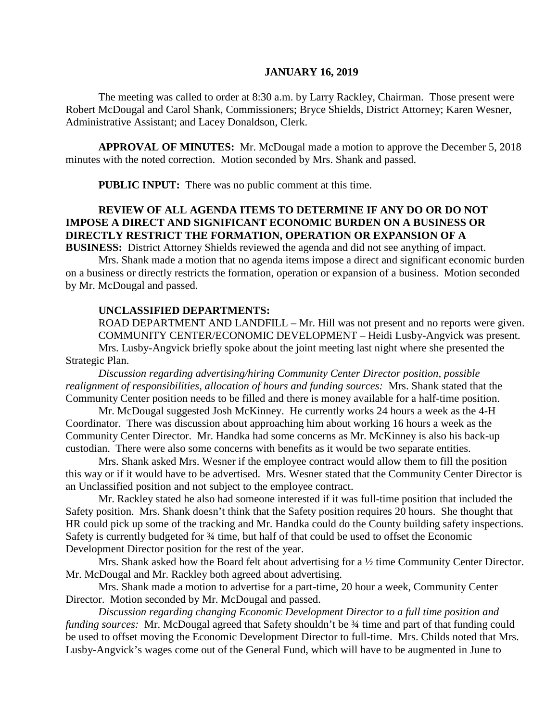#### **JANUARY 16, 2019**

The meeting was called to order at 8:30 a.m. by Larry Rackley, Chairman. Those present were Robert McDougal and Carol Shank, Commissioners; Bryce Shields, District Attorney; Karen Wesner, Administrative Assistant; and Lacey Donaldson, Clerk.

**APPROVAL OF MINUTES:** Mr. McDougal made a motion to approve the December 5, 2018 minutes with the noted correction. Motion seconded by Mrs. Shank and passed.

 **PUBLIC INPUT:** There was no public comment at this time.

# **REVIEW OF ALL AGENDA ITEMS TO DETERMINE IF ANY DO OR DO NOT IMPOSE A DIRECT AND SIGNIFICANT ECONOMIC BURDEN ON A BUSINESS OR DIRECTLY RESTRICT THE FORMATION, OPERATION OR EXPANSION OF A**

**BUSINESS:** District Attorney Shields reviewed the agenda and did not see anything of impact. Mrs. Shank made a motion that no agenda items impose a direct and significant economic burden

on a business or directly restricts the formation, operation or expansion of a business. Motion seconded by Mr. McDougal and passed.

#### **UNCLASSIFIED DEPARTMENTS:**

ROAD DEPARTMENT AND LANDFILL – Mr. Hill was not present and no reports were given. COMMUNITY CENTER/ECONOMIC DEVELOPMENT – Heidi Lusby-Angvick was present. Mrs. Lusby-Angvick briefly spoke about the joint meeting last night where she presented the Strategic Plan.

*Discussion regarding advertising/hiring Community Center Director position, possible realignment of responsibilities, allocation of hours and funding sources:* Mrs. Shank stated that the Community Center position needs to be filled and there is money available for a half-time position.

Mr. McDougal suggested Josh McKinney. He currently works 24 hours a week as the 4-H Coordinator. There was discussion about approaching him about working 16 hours a week as the Community Center Director. Mr. Handka had some concerns as Mr. McKinney is also his back-up custodian. There were also some concerns with benefits as it would be two separate entities.

Mrs. Shank asked Mrs. Wesner if the employee contract would allow them to fill the position this way or if it would have to be advertised. Mrs. Wesner stated that the Community Center Director is an Unclassified position and not subject to the employee contract.

Mr. Rackley stated he also had someone interested if it was full-time position that included the Safety position. Mrs. Shank doesn't think that the Safety position requires 20 hours. She thought that HR could pick up some of the tracking and Mr. Handka could do the County building safety inspections. Safety is currently budgeted for ¾ time, but half of that could be used to offset the Economic Development Director position for the rest of the year.

Mrs. Shank asked how the Board felt about advertising for a  $\frac{1}{2}$  time Community Center Director. Mr. McDougal and Mr. Rackley both agreed about advertising.

Mrs. Shank made a motion to advertise for a part-time, 20 hour a week, Community Center Director. Motion seconded by Mr. McDougal and passed.

*Discussion regarding changing Economic Development Director to a full time position and funding sources:* Mr. McDougal agreed that Safety shouldn't be  $\frac{3}{4}$  time and part of that funding could be used to offset moving the Economic Development Director to full-time. Mrs. Childs noted that Mrs. Lusby-Angvick's wages come out of the General Fund, which will have to be augmented in June to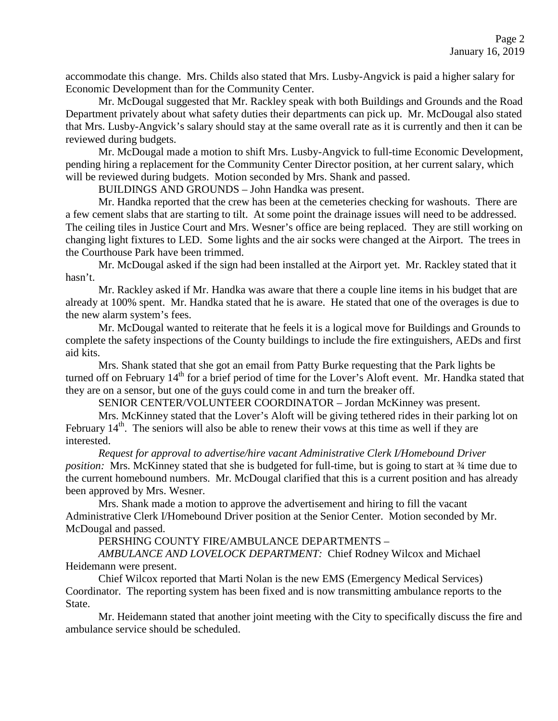accommodate this change. Mrs. Childs also stated that Mrs. Lusby-Angvick is paid a higher salary for Economic Development than for the Community Center.

Mr. McDougal suggested that Mr. Rackley speak with both Buildings and Grounds and the Road Department privately about what safety duties their departments can pick up. Mr. McDougal also stated that Mrs. Lusby-Angvick's salary should stay at the same overall rate as it is currently and then it can be reviewed during budgets.

Mr. McDougal made a motion to shift Mrs. Lusby-Angvick to full-time Economic Development, pending hiring a replacement for the Community Center Director position, at her current salary, which will be reviewed during budgets. Motion seconded by Mrs. Shank and passed.

BUILDINGS AND GROUNDS – John Handka was present.

Mr. Handka reported that the crew has been at the cemeteries checking for washouts. There are a few cement slabs that are starting to tilt. At some point the drainage issues will need to be addressed. The ceiling tiles in Justice Court and Mrs. Wesner's office are being replaced. They are still working on changing light fixtures to LED. Some lights and the air socks were changed at the Airport. The trees in the Courthouse Park have been trimmed.

Mr. McDougal asked if the sign had been installed at the Airport yet. Mr. Rackley stated that it hasn't.

Mr. Rackley asked if Mr. Handka was aware that there a couple line items in his budget that are already at 100% spent. Mr. Handka stated that he is aware. He stated that one of the overages is due to the new alarm system's fees.

Mr. McDougal wanted to reiterate that he feels it is a logical move for Buildings and Grounds to complete the safety inspections of the County buildings to include the fire extinguishers, AEDs and first aid kits.

Mrs. Shank stated that she got an email from Patty Burke requesting that the Park lights be turned off on February 14<sup>th</sup> for a brief period of time for the Lover's Aloft event. Mr. Handka stated that they are on a sensor, but one of the guys could come in and turn the breaker off.

SENIOR CENTER/VOLUNTEER COORDINATOR – Jordan McKinney was present.

Mrs. McKinney stated that the Lover's Aloft will be giving tethered rides in their parking lot on February  $14<sup>th</sup>$ . The seniors will also be able to renew their vows at this time as well if they are interested.

*Request for approval to advertise/hire vacant Administrative Clerk I/Homebound Driver position:* Mrs. McKinney stated that she is budgeted for full-time, but is going to start at  $\frac{3}{4}$  time due to the current homebound numbers. Mr. McDougal clarified that this is a current position and has already been approved by Mrs. Wesner.

Mrs. Shank made a motion to approve the advertisement and hiring to fill the vacant Administrative Clerk I/Homebound Driver position at the Senior Center. Motion seconded by Mr. McDougal and passed.

PERSHING COUNTY FIRE/AMBULANCE DEPARTMENTS –

*AMBULANCE AND LOVELOCK DEPARTMENT:* Chief Rodney Wilcox and Michael Heidemann were present.

Chief Wilcox reported that Marti Nolan is the new EMS (Emergency Medical Services) Coordinator. The reporting system has been fixed and is now transmitting ambulance reports to the State.

Mr. Heidemann stated that another joint meeting with the City to specifically discuss the fire and ambulance service should be scheduled.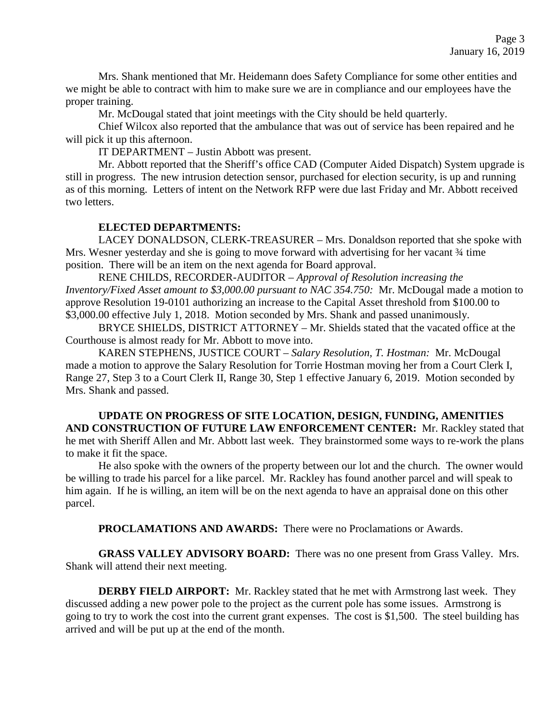Mrs. Shank mentioned that Mr. Heidemann does Safety Compliance for some other entities and we might be able to contract with him to make sure we are in compliance and our employees have the proper training.

Mr. McDougal stated that joint meetings with the City should be held quarterly.

Chief Wilcox also reported that the ambulance that was out of service has been repaired and he will pick it up this afternoon.

IT DEPARTMENT – Justin Abbott was present.

Mr. Abbott reported that the Sheriff's office CAD (Computer Aided Dispatch) System upgrade is still in progress. The new intrusion detection sensor, purchased for election security, is up and running as of this morning. Letters of intent on the Network RFP were due last Friday and Mr. Abbott received two letters.

### **ELECTED DEPARTMENTS:**

LACEY DONALDSON, CLERK-TREASURER – Mrs. Donaldson reported that she spoke with Mrs. Wesner yesterday and she is going to move forward with advertising for her vacant  $\frac{3}{4}$  time position. There will be an item on the next agenda for Board approval.

RENE CHILDS, RECORDER-AUDITOR – *Approval of Resolution increasing the Inventory/Fixed Asset amount to \$3,000.00 pursuant to NAC 354.750:* Mr. McDougal made a motion to approve Resolution 19-0101 authorizing an increase to the Capital Asset threshold from \$100.00 to \$3,000.00 effective July 1, 2018. Motion seconded by Mrs. Shank and passed unanimously.

BRYCE SHIELDS, DISTRICT ATTORNEY – Mr. Shields stated that the vacated office at the Courthouse is almost ready for Mr. Abbott to move into.

KAREN STEPHENS, JUSTICE COURT – *Salary Resolution, T. Hostman:* Mr. McDougal made a motion to approve the Salary Resolution for Torrie Hostman moving her from a Court Clerk I, Range 27, Step 3 to a Court Clerk II, Range 30, Step 1 effective January 6, 2019. Motion seconded by Mrs. Shank and passed.

**UPDATE ON PROGRESS OF SITE LOCATION, DESIGN, FUNDING, AMENITIES AND CONSTRUCTION OF FUTURE LAW ENFORCEMENT CENTER:** Mr. Rackley stated that he met with Sheriff Allen and Mr. Abbott last week. They brainstormed some ways to re-work the plans to make it fit the space.

He also spoke with the owners of the property between our lot and the church. The owner would be willing to trade his parcel for a like parcel. Mr. Rackley has found another parcel and will speak to him again. If he is willing, an item will be on the next agenda to have an appraisal done on this other parcel.

**PROCLAMATIONS AND AWARDS:** There were no Proclamations or Awards.

**GRASS VALLEY ADVISORY BOARD:** There was no one present from Grass Valley. Mrs. Shank will attend their next meeting.

**DERBY FIELD AIRPORT:** Mr. Rackley stated that he met with Armstrong last week. They discussed adding a new power pole to the project as the current pole has some issues. Armstrong is going to try to work the cost into the current grant expenses. The cost is \$1,500. The steel building has arrived and will be put up at the end of the month.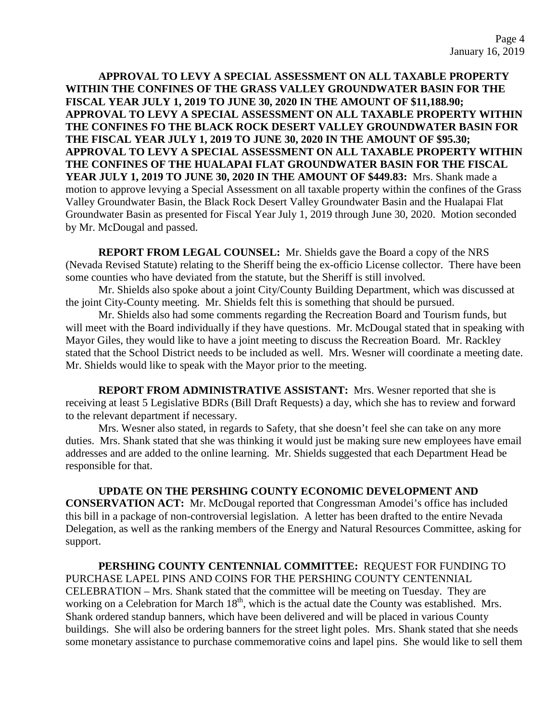**APPROVAL TO LEVY A SPECIAL ASSESSMENT ON ALL TAXABLE PROPERTY WITHIN THE CONFINES OF THE GRASS VALLEY GROUNDWATER BASIN FOR THE FISCAL YEAR JULY 1, 2019 TO JUNE 30, 2020 IN THE AMOUNT OF \$11,188.90; APPROVAL TO LEVY A SPECIAL ASSESSMENT ON ALL TAXABLE PROPERTY WITHIN THE CONFINES FO THE BLACK ROCK DESERT VALLEY GROUNDWATER BASIN FOR THE FISCAL YEAR JULY 1, 2019 TO JUNE 30, 2020 IN THE AMOUNT OF \$95.30; APPROVAL TO LEVY A SPECIAL ASSESSMENT ON ALL TAXABLE PROPERTY WITHIN THE CONFINES OF THE HUALAPAI FLAT GROUNDWATER BASIN FOR THE FISCAL YEAR JULY 1, 2019 TO JUNE 30, 2020 IN THE AMOUNT OF \$449.83:** Mrs. Shank made a motion to approve levying a Special Assessment on all taxable property within the confines of the Grass Valley Groundwater Basin, the Black Rock Desert Valley Groundwater Basin and the Hualapai Flat Groundwater Basin as presented for Fiscal Year July 1, 2019 through June 30, 2020. Motion seconded by Mr. McDougal and passed.

**REPORT FROM LEGAL COUNSEL:** Mr. Shields gave the Board a copy of the NRS (Nevada Revised Statute) relating to the Sheriff being the ex-officio License collector. There have been some counties who have deviated from the statute, but the Sheriff is still involved.

Mr. Shields also spoke about a joint City/County Building Department, which was discussed at the joint City-County meeting. Mr. Shields felt this is something that should be pursued.

Mr. Shields also had some comments regarding the Recreation Board and Tourism funds, but will meet with the Board individually if they have questions. Mr. McDougal stated that in speaking with Mayor Giles, they would like to have a joint meeting to discuss the Recreation Board. Mr. Rackley stated that the School District needs to be included as well. Mrs. Wesner will coordinate a meeting date. Mr. Shields would like to speak with the Mayor prior to the meeting.

**REPORT FROM ADMINISTRATIVE ASSISTANT:** Mrs. Wesner reported that she is receiving at least 5 Legislative BDRs (Bill Draft Requests) a day, which she has to review and forward to the relevant department if necessary.

Mrs. Wesner also stated, in regards to Safety, that she doesn't feel she can take on any more duties. Mrs. Shank stated that she was thinking it would just be making sure new employees have email addresses and are added to the online learning. Mr. Shields suggested that each Department Head be responsible for that.

**UPDATE ON THE PERSHING COUNTY ECONOMIC DEVELOPMENT AND CONSERVATION ACT:** Mr. McDougal reported that Congressman Amodei's office has included this bill in a package of non-controversial legislation. A letter has been drafted to the entire Nevada Delegation, as well as the ranking members of the Energy and Natural Resources Committee, asking for support.

**PERSHING COUNTY CENTENNIAL COMMITTEE:** REQUEST FOR FUNDING TO PURCHASE LAPEL PINS AND COINS FOR THE PERSHING COUNTY CENTENNIAL CELEBRATION – Mrs. Shank stated that the committee will be meeting on Tuesday. They are working on a Celebration for March  $18<sup>th</sup>$ , which is the actual date the County was established. Mrs. Shank ordered standup banners, which have been delivered and will be placed in various County buildings. She will also be ordering banners for the street light poles. Mrs. Shank stated that she needs some monetary assistance to purchase commemorative coins and lapel pins. She would like to sell them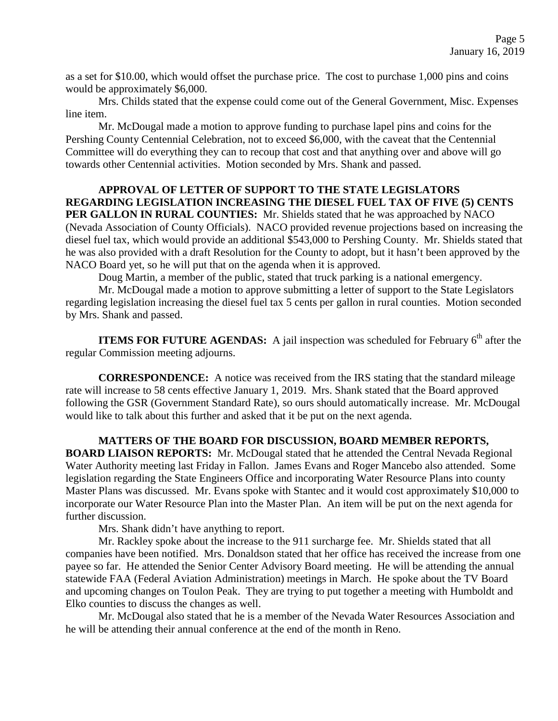as a set for \$10.00, which would offset the purchase price. The cost to purchase 1,000 pins and coins would be approximately \$6,000.

 Mrs. Childs stated that the expense could come out of the General Government, Misc. Expenses line item.

Mr. McDougal made a motion to approve funding to purchase lapel pins and coins for the Pershing County Centennial Celebration, not to exceed \$6,000, with the caveat that the Centennial Committee will do everything they can to recoup that cost and that anything over and above will go towards other Centennial activities. Motion seconded by Mrs. Shank and passed.

## **APPROVAL OF LETTER OF SUPPORT TO THE STATE LEGISLATORS REGARDING LEGISLATION INCREASING THE DIESEL FUEL TAX OF FIVE (5) CENTS PER GALLON IN RURAL COUNTIES:** Mr. Shields stated that he was approached by NACO (Nevada Association of County Officials). NACO provided revenue projections based on increasing the diesel fuel tax, which would provide an additional \$543,000 to Pershing County. Mr. Shields stated that he was also provided with a draft Resolution for the County to adopt, but it hasn't been approved by the NACO Board yet, so he will put that on the agenda when it is approved.

Doug Martin, a member of the public, stated that truck parking is a national emergency.

Mr. McDougal made a motion to approve submitting a letter of support to the State Legislators regarding legislation increasing the diesel fuel tax 5 cents per gallon in rural counties. Motion seconded by Mrs. Shank and passed.

**ITEMS FOR FUTURE AGENDAS:** A jail inspection was scheduled for February 6<sup>th</sup> after the regular Commission meeting adjourns.

**CORRESPONDENCE:** A notice was received from the IRS stating that the standard mileage rate will increase to 58 cents effective January 1, 2019. Mrs. Shank stated that the Board approved following the GSR (Government Standard Rate), so ours should automatically increase. Mr. McDougal would like to talk about this further and asked that it be put on the next agenda.

**MATTERS OF THE BOARD FOR DISCUSSION, BOARD MEMBER REPORTS, BOARD LIAISON REPORTS:** Mr. McDougal stated that he attended the Central Nevada Regional Water Authority meeting last Friday in Fallon. James Evans and Roger Mancebo also attended. Some legislation regarding the State Engineers Office and incorporating Water Resource Plans into county Master Plans was discussed. Mr. Evans spoke with Stantec and it would cost approximately \$10,000 to incorporate our Water Resource Plan into the Master Plan. An item will be put on the next agenda for further discussion.

Mrs. Shank didn't have anything to report.

Mr. Rackley spoke about the increase to the 911 surcharge fee. Mr. Shields stated that all companies have been notified. Mrs. Donaldson stated that her office has received the increase from one payee so far. He attended the Senior Center Advisory Board meeting. He will be attending the annual statewide FAA (Federal Aviation Administration) meetings in March. He spoke about the TV Board and upcoming changes on Toulon Peak. They are trying to put together a meeting with Humboldt and Elko counties to discuss the changes as well.

Mr. McDougal also stated that he is a member of the Nevada Water Resources Association and he will be attending their annual conference at the end of the month in Reno.